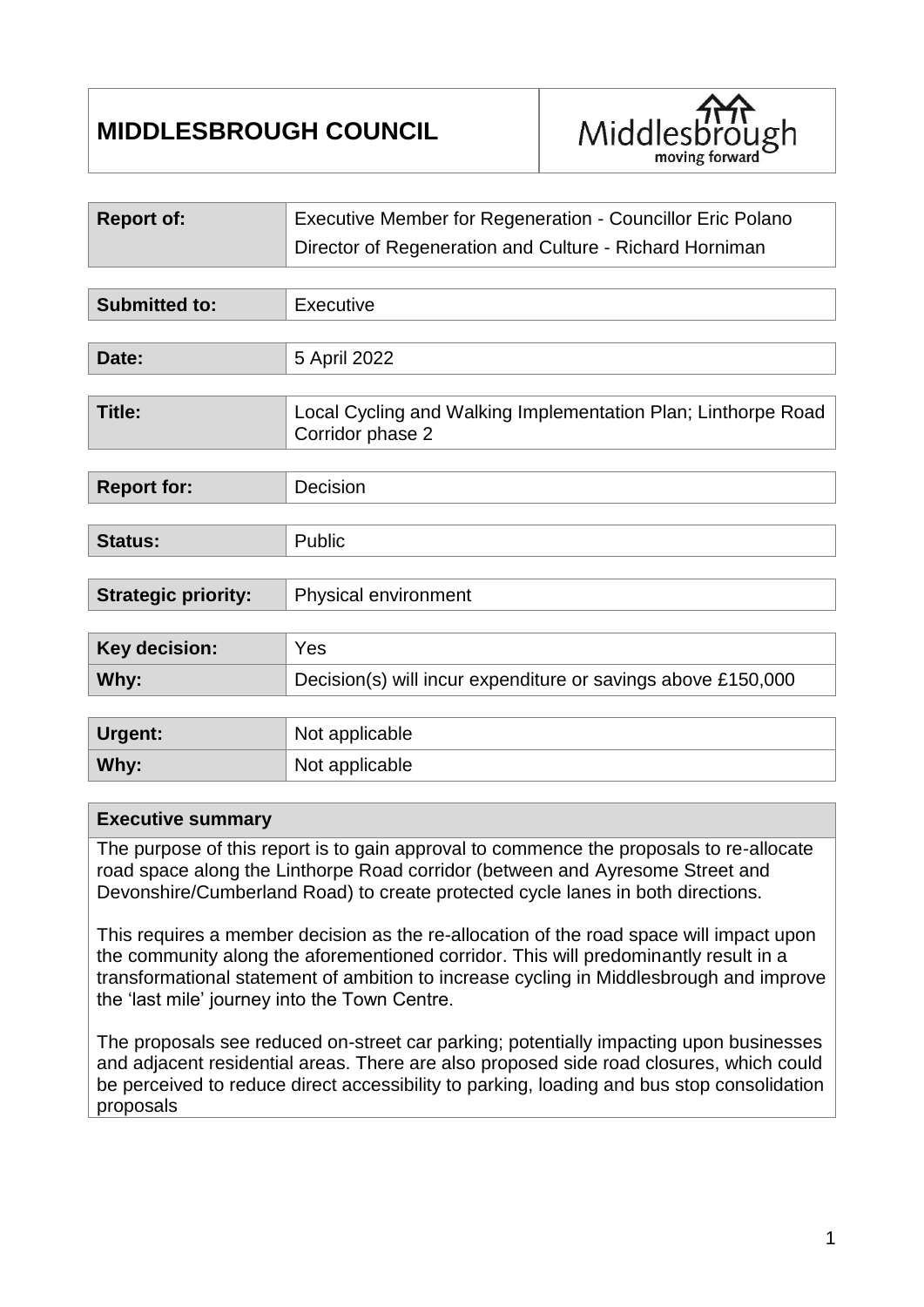# **MIDDLESBROUGH COUNCIL**



| <b>Report of:</b>          | Executive Member for Regeneration - Councillor Eric Polano                        |  |
|----------------------------|-----------------------------------------------------------------------------------|--|
|                            | Director of Regeneration and Culture - Richard Horniman                           |  |
|                            |                                                                                   |  |
| <b>Submitted to:</b>       | Executive                                                                         |  |
|                            |                                                                                   |  |
| Date:                      | 5 April 2022                                                                      |  |
|                            |                                                                                   |  |
| <b>Title:</b>              | Local Cycling and Walking Implementation Plan; Linthorpe Road<br>Corridor phase 2 |  |
|                            |                                                                                   |  |
| <b>Report for:</b>         | Decision                                                                          |  |
|                            |                                                                                   |  |
| <b>Status:</b>             | Public                                                                            |  |
|                            |                                                                                   |  |
| <b>Strategic priority:</b> | Physical environment                                                              |  |
|                            |                                                                                   |  |
| Key decision:              | Yes                                                                               |  |
| Why:                       | Decision(s) will incur expenditure or savings above £150,000                      |  |
|                            |                                                                                   |  |
| Urgent:                    | Not applicable                                                                    |  |
| Why:                       | Not applicable                                                                    |  |

#### **Executive summary**

The purpose of this report is to gain approval to commence the proposals to re-allocate road space along the Linthorpe Road corridor (between and Ayresome Street and Devonshire/Cumberland Road) to create protected cycle lanes in both directions.

This requires a member decision as the re-allocation of the road space will impact upon the community along the aforementioned corridor. This will predominantly result in a transformational statement of ambition to increase cycling in Middlesbrough and improve the 'last mile' journey into the Town Centre.

The proposals see reduced on-street car parking; potentially impacting upon businesses and adjacent residential areas. There are also proposed side road closures, which could be perceived to reduce direct accessibility to parking, loading and bus stop consolidation proposals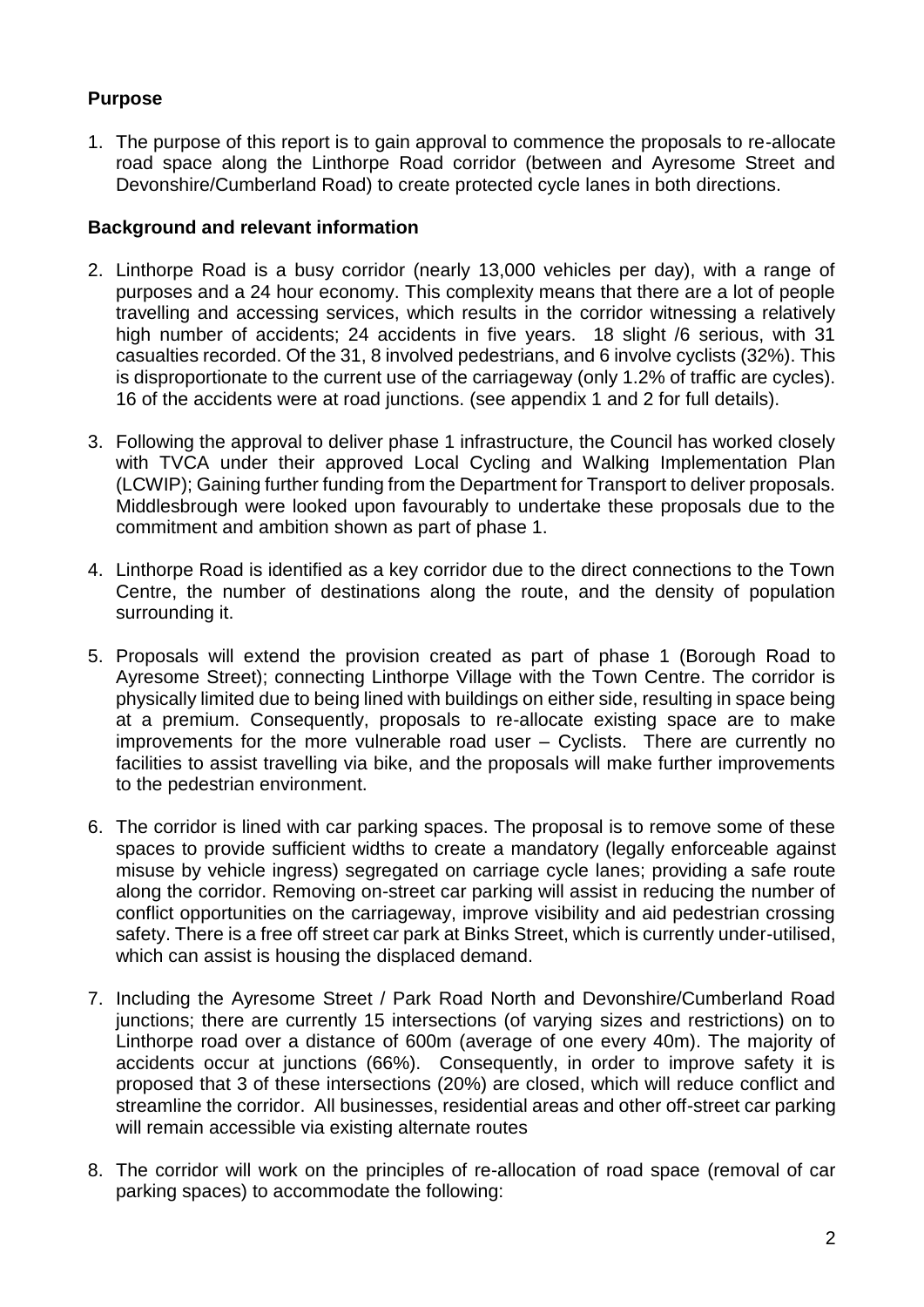## **Purpose**

1. The purpose of this report is to gain approval to commence the proposals to re-allocate road space along the Linthorpe Road corridor (between and Ayresome Street and Devonshire/Cumberland Road) to create protected cycle lanes in both directions.

#### **Background and relevant information**

- 2. Linthorpe Road is a busy corridor (nearly 13,000 vehicles per day), with a range of purposes and a 24 hour economy. This complexity means that there are a lot of people travelling and accessing services, which results in the corridor witnessing a relatively high number of accidents: 24 accidents in five years. 18 slight /6 serious, with 31 casualties recorded. Of the 31, 8 involved pedestrians, and 6 involve cyclists (32%). This is disproportionate to the current use of the carriageway (only 1.2% of traffic are cycles). 16 of the accidents were at road junctions. (see appendix 1 and 2 for full details).
- 3. Following the approval to deliver phase 1 infrastructure, the Council has worked closely with TVCA under their approved Local Cycling and Walking Implementation Plan (LCWIP); Gaining further funding from the Department for Transport to deliver proposals. Middlesbrough were looked upon favourably to undertake these proposals due to the commitment and ambition shown as part of phase 1.
- 4. Linthorpe Road is identified as a key corridor due to the direct connections to the Town Centre, the number of destinations along the route, and the density of population surrounding it.
- 5. Proposals will extend the provision created as part of phase 1 (Borough Road to Ayresome Street); connecting Linthorpe Village with the Town Centre. The corridor is physically limited due to being lined with buildings on either side, resulting in space being at a premium. Consequently, proposals to re-allocate existing space are to make improvements for the more vulnerable road user – Cyclists. There are currently no facilities to assist travelling via bike, and the proposals will make further improvements to the pedestrian environment.
- 6. The corridor is lined with car parking spaces. The proposal is to remove some of these spaces to provide sufficient widths to create a mandatory (legally enforceable against misuse by vehicle ingress) segregated on carriage cycle lanes; providing a safe route along the corridor. Removing on-street car parking will assist in reducing the number of conflict opportunities on the carriageway, improve visibility and aid pedestrian crossing safety. There is a free off street car park at Binks Street, which is currently under-utilised, which can assist is housing the displaced demand.
- 7. Including the Ayresome Street / Park Road North and Devonshire/Cumberland Road junctions; there are currently 15 intersections (of varying sizes and restrictions) on to Linthorpe road over a distance of 600m (average of one every 40m). The majority of accidents occur at junctions (66%). Consequently, in order to improve safety it is proposed that 3 of these intersections (20%) are closed, which will reduce conflict and streamline the corridor. All businesses, residential areas and other off-street car parking will remain accessible via existing alternate routes
- 8. The corridor will work on the principles of re-allocation of road space (removal of car parking spaces) to accommodate the following: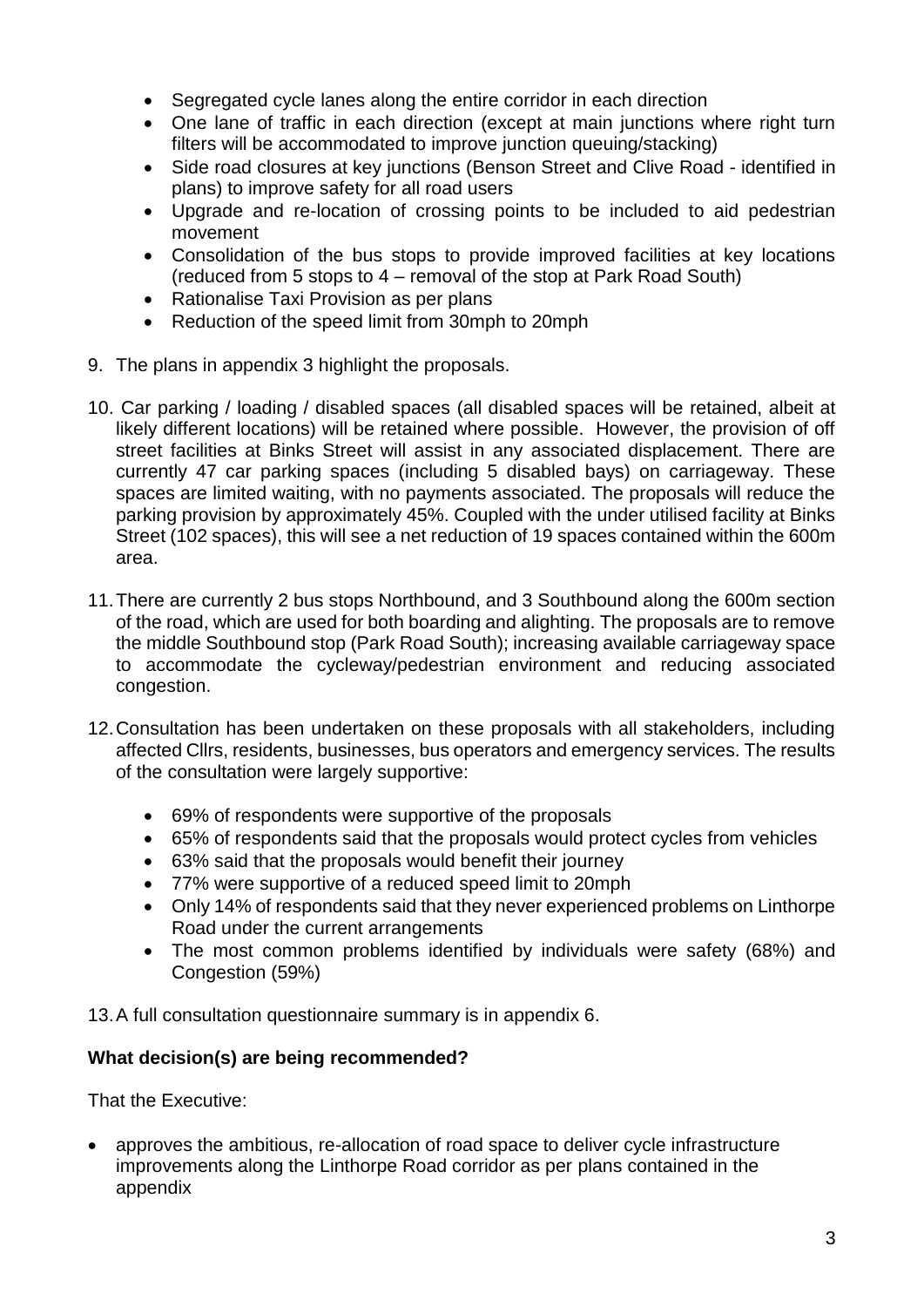- Segregated cycle lanes along the entire corridor in each direction
- One lane of traffic in each direction (except at main junctions where right turn filters will be accommodated to improve junction queuing/stacking)
- Side road closures at key junctions (Benson Street and Clive Road identified in plans) to improve safety for all road users
- Upgrade and re-location of crossing points to be included to aid pedestrian movement
- Consolidation of the bus stops to provide improved facilities at key locations (reduced from 5 stops to 4 – removal of the stop at Park Road South)
- Rationalise Taxi Provision as per plans
- Reduction of the speed limit from 30mph to 20mph
- 9. The plans in appendix 3 highlight the proposals.
- 10. Car parking / loading / disabled spaces (all disabled spaces will be retained, albeit at likely different locations) will be retained where possible. However, the provision of off street facilities at Binks Street will assist in any associated displacement. There are currently 47 car parking spaces (including 5 disabled bays) on carriageway. These spaces are limited waiting, with no payments associated. The proposals will reduce the parking provision by approximately 45%. Coupled with the under utilised facility at Binks Street (102 spaces), this will see a net reduction of 19 spaces contained within the 600m area.
- 11.There are currently 2 bus stops Northbound, and 3 Southbound along the 600m section of the road, which are used for both boarding and alighting. The proposals are to remove the middle Southbound stop (Park Road South); increasing available carriageway space to accommodate the cycleway/pedestrian environment and reducing associated congestion.
- 12.Consultation has been undertaken on these proposals with all stakeholders, including affected Cllrs, residents, businesses, bus operators and emergency services. The results of the consultation were largely supportive:
	- 69% of respondents were supportive of the proposals
	- 65% of respondents said that the proposals would protect cycles from vehicles
	- 63% said that the proposals would benefit their journey
	- 77% were supportive of a reduced speed limit to 20mph
	- Only 14% of respondents said that they never experienced problems on Linthorpe Road under the current arrangements
	- The most common problems identified by individuals were safety (68%) and Congestion (59%)

13.A full consultation questionnaire summary is in appendix 6.

#### **What decision(s) are being recommended?**

That the Executive:

 approves the ambitious, re-allocation of road space to deliver cycle infrastructure improvements along the Linthorpe Road corridor as per plans contained in the appendix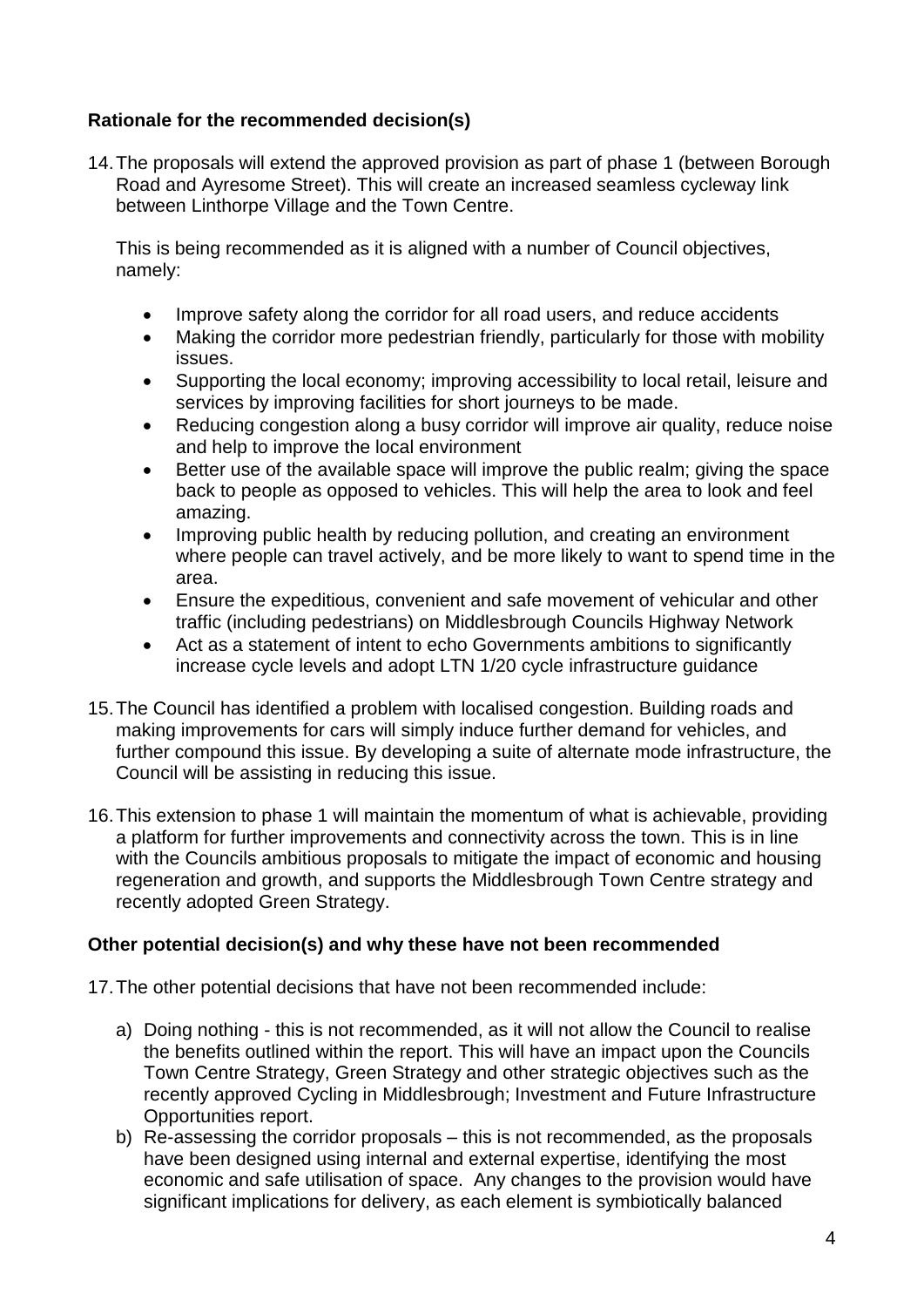### **Rationale for the recommended decision(s)**

14.The proposals will extend the approved provision as part of phase 1 (between Borough Road and Ayresome Street). This will create an increased seamless cycleway link between Linthorpe Village and the Town Centre.

This is being recommended as it is aligned with a number of Council objectives, namely:

- Improve safety along the corridor for all road users, and reduce accidents
- Making the corridor more pedestrian friendly, particularly for those with mobility issues.
- Supporting the local economy; improving accessibility to local retail, leisure and services by improving facilities for short journeys to be made.
- Reducing congestion along a busy corridor will improve air quality, reduce noise and help to improve the local environment
- Better use of the available space will improve the public realm; giving the space back to people as opposed to vehicles. This will help the area to look and feel amazing.
- Improving public health by reducing pollution, and creating an environment where people can travel actively, and be more likely to want to spend time in the area.
- Ensure the expeditious, convenient and safe movement of vehicular and other traffic (including pedestrians) on Middlesbrough Councils Highway Network
- Act as a statement of intent to echo Governments ambitions to significantly increase cycle levels and adopt LTN 1/20 cycle infrastructure guidance
- 15.The Council has identified a problem with localised congestion. Building roads and making improvements for cars will simply induce further demand for vehicles, and further compound this issue. By developing a suite of alternate mode infrastructure, the Council will be assisting in reducing this issue.
- 16.This extension to phase 1 will maintain the momentum of what is achievable, providing a platform for further improvements and connectivity across the town. This is in line with the Councils ambitious proposals to mitigate the impact of economic and housing regeneration and growth, and supports the Middlesbrough Town Centre strategy and recently adopted Green Strategy.

#### **Other potential decision(s) and why these have not been recommended**

17.The other potential decisions that have not been recommended include:

- a) Doing nothing this is not recommended, as it will not allow the Council to realise the benefits outlined within the report. This will have an impact upon the Councils Town Centre Strategy, Green Strategy and other strategic objectives such as the recently approved Cycling in Middlesbrough; Investment and Future Infrastructure Opportunities report.
- b) Re-assessing the corridor proposals this is not recommended, as the proposals have been designed using internal and external expertise, identifying the most economic and safe utilisation of space. Any changes to the provision would have significant implications for delivery, as each element is symbiotically balanced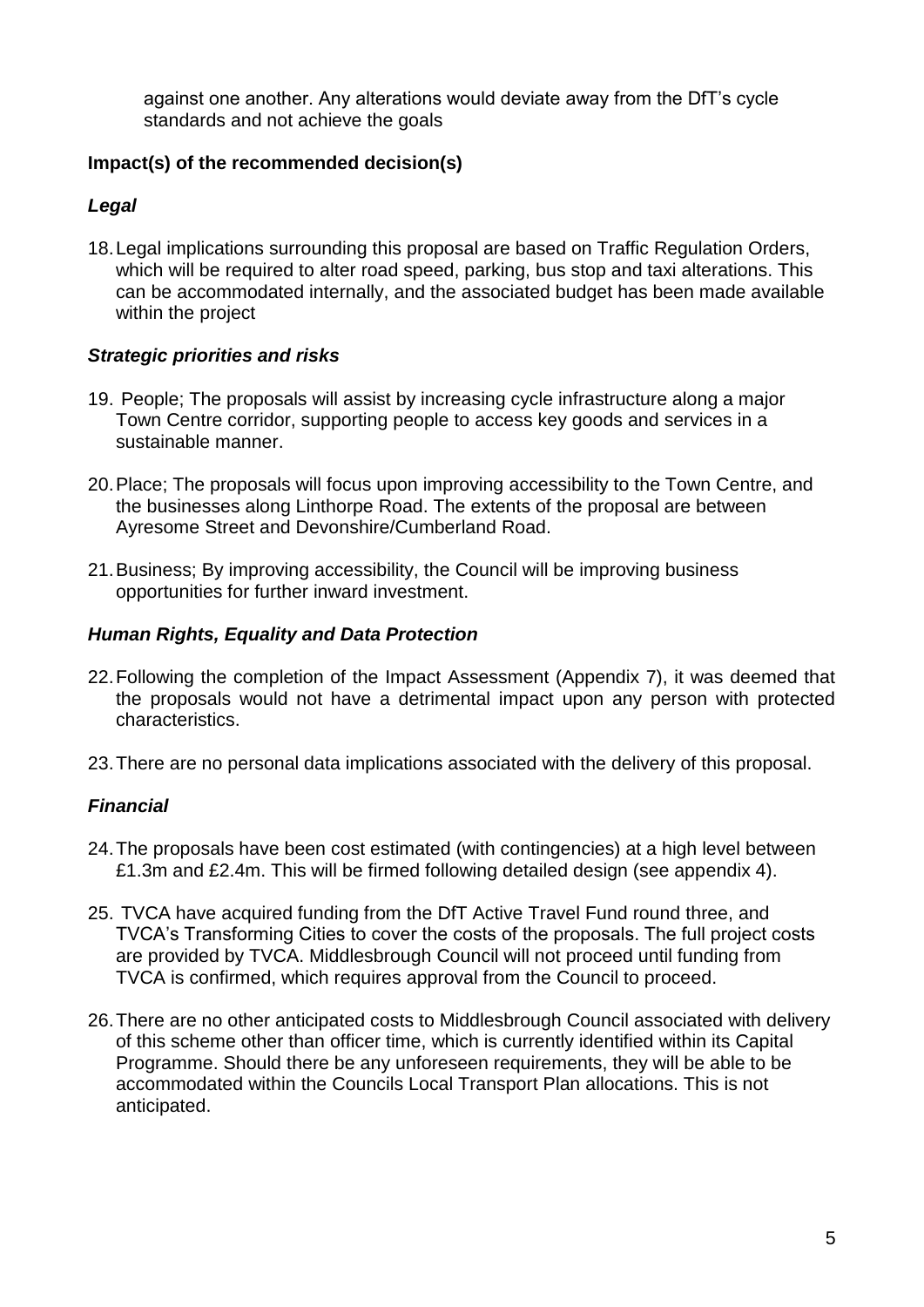against one another. Any alterations would deviate away from the DfT's cycle standards and not achieve the goals

## **Impact(s) of the recommended decision(s)**

#### *Legal*

18.Legal implications surrounding this proposal are based on Traffic Regulation Orders, which will be required to alter road speed, parking, bus stop and taxi alterations. This can be accommodated internally, and the associated budget has been made available within the project

## *Strategic priorities and risks*

- 19. People; The proposals will assist by increasing cycle infrastructure along a major Town Centre corridor, supporting people to access key goods and services in a sustainable manner.
- 20.Place; The proposals will focus upon improving accessibility to the Town Centre, and the businesses along Linthorpe Road. The extents of the proposal are between Ayresome Street and Devonshire/Cumberland Road.
- 21.Business; By improving accessibility, the Council will be improving business opportunities for further inward investment.

#### *Human Rights, Equality and Data Protection*

- 22.Following the completion of the Impact Assessment (Appendix 7), it was deemed that the proposals would not have a detrimental impact upon any person with protected characteristics.
- 23.There are no personal data implications associated with the delivery of this proposal.

# *Financial*

- 24.The proposals have been cost estimated (with contingencies) at a high level between £1.3m and £2.4m. This will be firmed following detailed design (see appendix 4).
- 25. TVCA have acquired funding from the DfT Active Travel Fund round three, and TVCA's Transforming Cities to cover the costs of the proposals. The full project costs are provided by TVCA. Middlesbrough Council will not proceed until funding from TVCA is confirmed, which requires approval from the Council to proceed.
- 26.There are no other anticipated costs to Middlesbrough Council associated with delivery of this scheme other than officer time, which is currently identified within its Capital Programme. Should there be any unforeseen requirements, they will be able to be accommodated within the Councils Local Transport Plan allocations. This is not anticipated.